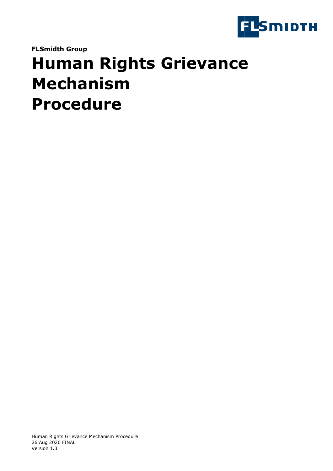

**FLSmidth Group**

# **Human Rights Grievance Mechanism Procedure**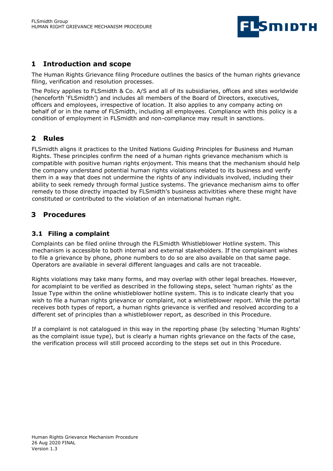

# **1 Introduction and scope**

The Human Rights Grievance filing Procedure outlines the basics of the human rights grievance filing, verification and resolution processes.

The Policy applies to FLSmidth & Co. A/S and all of its subsidiaries, offices and sites worldwide (henceforth 'FLSmidth') and includes all members of the Board of Directors, executives, officers and employees, irrespective of location. It also applies to any company acting on behalf of or in the name of FLSmidth, including all employees. Compliance with this policy is a condition of employment in FLSmidth and non-compliance may result in sanctions.

## **2 Rules**

FLSmidth aligns it practices to the United Nations Guiding Principles for Business and Human Rights. These principles confirm the need of a human rights grievance mechanism which is compatible with positive human rights enjoyment. This means that the mechanism should help the company understand potential human rights violations related to its business and verify them in a way that does not undermine the rights of any individuals involved, including their ability to seek remedy through formal justice systems. The grievance mechanism aims to offer remedy to those directly impacted by FLSmidth's business activitities where these might have constituted or contributed to the violation of an international human right.

## **3 Procedures**

## **3.1 Filing a complaint**

Complaints can be filed online through the FLSmidth Whistleblower Hotline system. This mechanism is accessible to both internal and external stakeholders. If the complainant wishes to file a grievance by phone, phone numbers to do so are also available on that same page. Operators are available in several different languages and calls are not traceable.

Rights violations may take many forms, and may overlap with other legal breaches. However, for acomplaint to be verified as described in the following steps, select 'human rights' as the Issue Type within the online whistleblower hotline system. This is to indicate clearly that you wish to file a human rights grievance or complaint, not a whistleblower report. While the portal receives both types of report, a human rights grievance is verified and resolved according to a different set of principles than a whistleblower report, as described in this Procedure.

If a complaint is not catalogued in this way in the reporting phase (by selecting 'Human Rights' as the complaint issue type), but is clearly a human rights grievance on the facts of the case, the verification process will still proceed according to the steps set out in this Procedure.